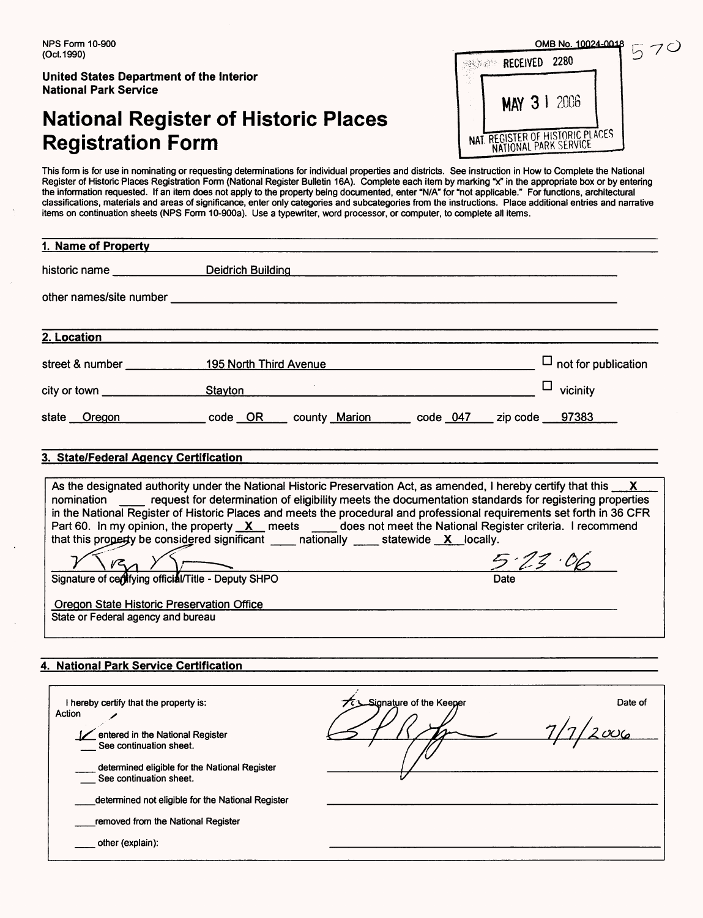## **National Register of Historic Places Registration Form**

| NPS Form 10-900<br>(Oct.1990)                                                   | OMB No. 10024-0018                                                      |  |  |  |
|---------------------------------------------------------------------------------|-------------------------------------------------------------------------|--|--|--|
| <b>United States Department of the Interior</b><br><b>National Park Service</b> | 2280<br>RECEIVED<br>-2006                                               |  |  |  |
| <b>National Register of Historic Places</b><br><b>Registration Form</b>         | MAY 31<br>TREGISTER OF HISTORIC PLACES<br>NAT.<br>NATIONAL PARK SERVICE |  |  |  |

フC

This form is for use in nominating or requesting determinations for individual properties and districts. See instruction in How to Complete the National The forms for doc in hominality of requeently determinations for incredent properties and districts. See instruction in from to complete the reachtar<br>Register of Historic Places Registration Form (National Register Bulleti the information requested. If an item does not apply to the property being documented, enter "N/A" for "not applicable." For functions, architectural classifications, materials and areas of significance, enter only categories and subcategories from the instructions. Place additional entries and narrative items on continuation sheets (NPS Form 10-900a). Use a typewriter, word processor, or computer, to complete all items.

| 1. Name of Property                                                                                                      |                                                                                                                                                                                                                                                                                                                                                                                                                                                                                                                                                                                                                                                                                |                            |
|--------------------------------------------------------------------------------------------------------------------------|--------------------------------------------------------------------------------------------------------------------------------------------------------------------------------------------------------------------------------------------------------------------------------------------------------------------------------------------------------------------------------------------------------------------------------------------------------------------------------------------------------------------------------------------------------------------------------------------------------------------------------------------------------------------------------|----------------------------|
|                                                                                                                          | historic name Deidrich Building                                                                                                                                                                                                                                                                                                                                                                                                                                                                                                                                                                                                                                                |                            |
|                                                                                                                          | other names/site number example and the state of the state of the state of the state of the state of the state of the state of the state of the state of the state of the state of the state of the state of the state of the                                                                                                                                                                                                                                                                                                                                                                                                                                                  |                            |
| 2. Location                                                                                                              |                                                                                                                                                                                                                                                                                                                                                                                                                                                                                                                                                                                                                                                                                |                            |
|                                                                                                                          |                                                                                                                                                                                                                                                                                                                                                                                                                                                                                                                                                                                                                                                                                | $\Box$ not for publication |
|                                                                                                                          | city or town <u>section</u> stayton                                                                                                                                                                                                                                                                                                                                                                                                                                                                                                                                                                                                                                            | $\Box$<br>vicinity         |
|                                                                                                                          |                                                                                                                                                                                                                                                                                                                                                                                                                                                                                                                                                                                                                                                                                |                            |
| 3. State/Federal Agency Certification<br>Oregon State Historic Preservation Office<br>State or Federal agency and bureau | As the designated authority under the National Historic Preservation Act, as amended, I hereby certify that this X<br>nomination _____ request for determination of eligibility meets the documentation standards for registering properties<br>in the National Register of Historic Places and meets the procedural and professional requirements set forth in 36 CFR<br>Part 60. In my opinion, the property X meets does not meet the National Register criteria. I recommend<br>that this property be considered significant $\frac{1}{\sqrt{2}}$ nationally $\frac{1}{\sqrt{2}}$ statewide $\frac{X}{X}$ locally.<br>Signature of certifying official/Title - Deputy SHPO | 5.23.06                    |
| 4. National Park Service Certification                                                                                   |                                                                                                                                                                                                                                                                                                                                                                                                                                                                                                                                                                                                                                                                                |                            |

| I hereby certify that the property is:            | Signature of the Keeper | Date of |
|---------------------------------------------------|-------------------------|---------|
| Action                                            |                         |         |
| entered in the National Register                  |                         | $O_6$   |
| See continuation sheet.                           |                         |         |
| determined eligible for the National Register     |                         |         |
| See continuation sheet.                           |                         |         |
| determined not eligible for the National Register |                         |         |
| removed from the National Register                |                         |         |
|                                                   |                         |         |
| other (explain):                                  |                         |         |
|                                                   |                         |         |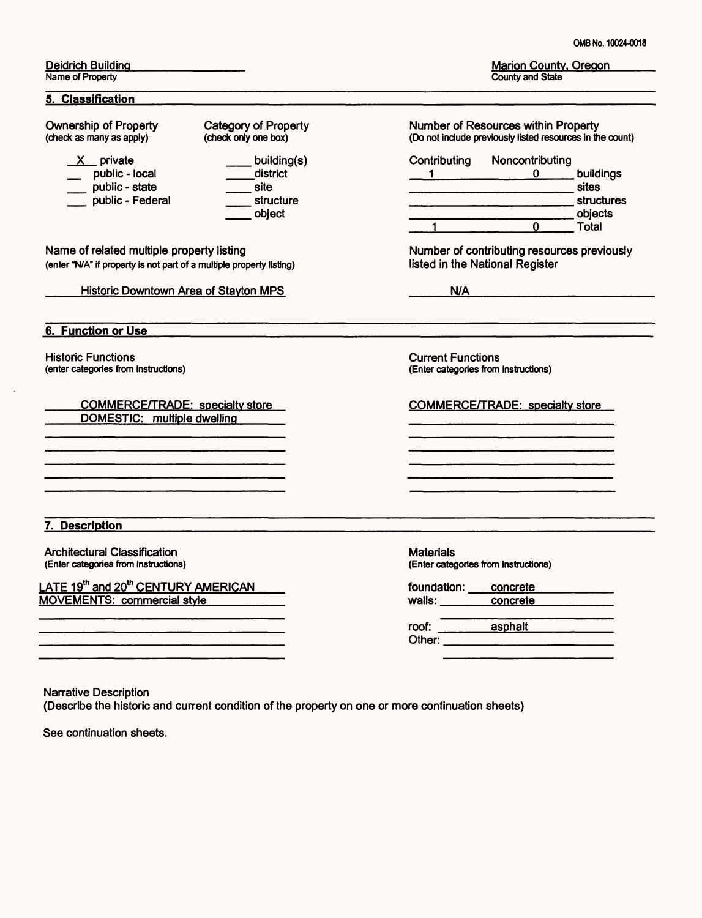Marion County, Oregon County and State

Deidrich Building Name of Property

#### **5. Classification**

Ownership of Property (check as many as apply)

- $X$  private
- 
- X private<br>
\_ public local<br>
\_\_\_\_ public state public - state<br>public - Federal
- 
- building(s) .district site structure object

Category of Property (check only one box)

Name of related multiple property listing (enter "N/A" if property is not part of a multiple property listing)

Historic Downtown Area of Stayton MPS

**6. Function or Use**

Historic Functions (enter categories from instructions)

COMMERCE/TRADE: specialty store DOMESTIC: multiple dwelling

**7. Description**

Architectural Classification (Enter categories from instructions)

<u>LATE 19"' and 20"' CENTURY AMERICAN</u> MOVEMENTS: commercial style\_\_\_\_\_

| <b>Number of Resources within Property</b><br>(Do not include previously listed resources in the count) |                 |                  |
|---------------------------------------------------------------------------------------------------------|-----------------|------------------|
| Contributing                                                                                            | Noncontributing |                  |
|                                                                                                         |                 | buildings        |
|                                                                                                         |                 | sites            |
|                                                                                                         |                 | structures       |
|                                                                                                         |                 | objects<br>Total |

Number of contributing resources previously listed in the National Register

 $N/A$ 

Current Functions (Enter categories from instructions)

COMMERCE/TRADE: specialty store

**Materials** (Enter categories from instructions)

| foundation:          | concrete       |  |
|----------------------|----------------|--|
| walls: <b>walls:</b> | concrete       |  |
| roof:                | <b>asphalt</b> |  |
| Other:               |                |  |

Narrative Description

(Describe the historic and current condition of the property on one or more continuation sheets)

See continuation sheets.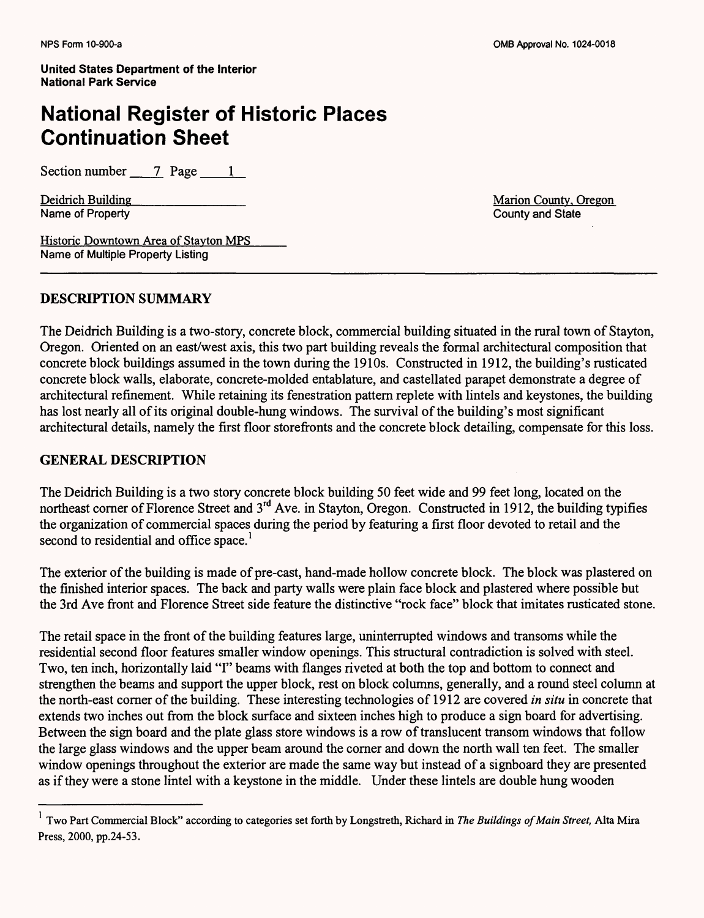## **National Register of Historic Places Continuation Sheet**

Section number  $\frac{7}{2}$  Page  $\frac{1}{2}$ 

Name of Property

Deidrich Building<br>
Name of Property<br>
Name of Property<br>
County and State<br>
County and State

Historic Downtown Area of Stayton MPS Name of Multiple Property Listing

#### **DESCRIPTION SUMMARY**

The Deidrich Building is a two-story, concrete block, commercial building situated in the rural town of Stayton, Oregon. Oriented on an east/west axis, this two part building reveals the formal architectural composition that concrete block buildings assumed in the town during the 1910s. Constructed in 1912, the building's rusticated concrete block walls, elaborate, concrete-molded entablature, and castellated parapet demonstrate a degree of architectural refinement. While retaining its fenestration pattern replete with lintels and keystones, the building has lost nearly all of its original double-hung windows. The survival of the building's most significant architectural details, namely the first floor storefronts and the concrete block detailing, compensate for this loss.

#### **GENERAL DESCRIPTION**

The Deidrich Building is a two story concrete block building 50 feet wide and 99 feet long, located on the northeast corner of Florence Street and 3<sup>rd</sup> Ave. in Stayton, Oregon. Constructed in 1912, the building typifies the organization of commercial spaces during the period by featuring a first floor devoted to retail and the second to residential and office space.<sup>1</sup>

The exterior of the building is made of pre-cast, hand-made hollow concrete block. The block was plastered on the finished interior spaces. The back and party walls were plain face block and plastered where possible but the 3rd Ave front and Florence Street side feature the distinctive "rock face" block that imitates rusticated stone.

The retail space in the front of the building features large, uninterrupted windows and transoms while the residential second floor features smaller window openings. This structural contradiction is solved with steel. Two, ten inch, horizontally laid "I" beams with flanges riveted at both the top and bottom to connect and strengthen the beams and support the upper block, rest on block columns, generally, and a round steel column at the north-east comer of the building. These interesting technologies of 1912 are covered *in situ* in concrete that extends two inches out from the block surface and sixteen inches high to produce a sign board for advertising. Between the sign board and the plate glass store windows is a row of translucent transom windows that follow the large glass windows and the upper beam around the corner and down the north wall ten feet. The smaller window openings throughout the exterior are made the same way but instead of a signboard they are presented as if they were a stone lintel with a keystone in the middle. Under these lintels are double hung wooden

Two Part Commercial Block" according to categories set forth by Longstreth, Richard in *The Buildings of Main Street,* Alta Mira Press, 2000, pp.24-53.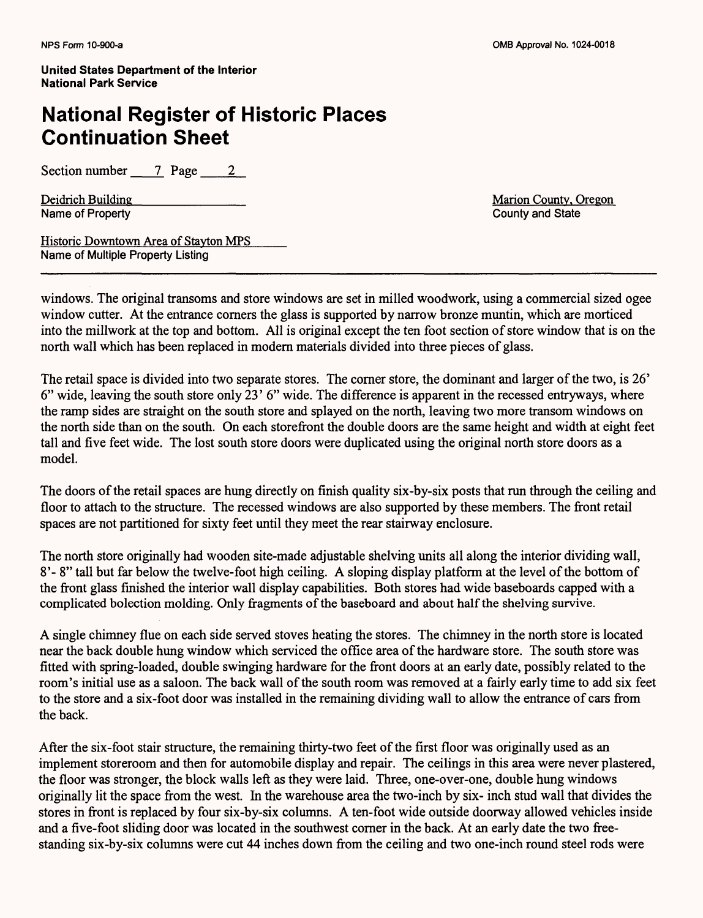### **National Register of Historic Places Continuation Sheet**

Section number 7 Page 2

Name of Property

Deidrich Building<br>
Name of Property<br>
Name of Property<br>
County and State<br>
County and State

Historic Downtown Area of Stayton MPS Name of Multiple Property Listing

windows. The original transoms and store windows are set in milled woodwork, using a commercial sized ogee window cutter. At the entrance corners the glass is supported by narrow bronze muntin, which are morticed into the millwork at the top and bottom. All is original except the ten foot section of store window that is on the north wall which has been replaced in modern materials divided into three pieces of glass.

The retail space is divided into two separate stores. The corner store, the dominant and larger of the two, is 26' 6" wide, leaving the south store only 23' 6" wide. The difference is apparent in the recessed entryways, where the ramp sides are straight on the south store and splayed on the north, leaving two more transom windows on the north side than on the south. On each storefront the double doors are the same height and width at eight feet tall and five feet wide. The lost south store doors were duplicated using the original north store doors as a model.

The doors of the retail spaces are hung directly on finish quality six-by-six posts that run through the ceiling and floor to attach to the structure. The recessed windows are also supported by these members. The front retail spaces are not partitioned for sixty feet until they meet the rear stairway enclosure.

The north store originally had wooden site-made adjustable shelving units all along the interior dividing wall, 8'- 8" tall but far below the twelve-foot high ceiling. A sloping display platform at the level of the bottom of the front glass finished the interior wall display capabilities. Both stores had wide baseboards capped with a complicated bolection molding. Only fragments of the baseboard and about half the shelving survive.

A single chimney flue on each side served stoves heating the stores. The chimney in the north store is located near the back double hung window which serviced the office area of the hardware store. The south store was fitted with spring-loaded, double swinging hardware for the front doors at an early date, possibly related to the room's initial use as a saloon. The back wall of the south room was removed at a fairly early time to add six feet to the store and a six-foot door was installed in the remaining dividing wall to allow the entrance of cars from the back.

After the six-foot stair structure, the remaining thirty-two feet of the first floor was originally used as an implement storeroom and then for automobile display and repair. The ceilings in this area were never plastered, the floor was stronger, the block walls left as they were laid. Three, one-over-one, double hung windows originally lit the space from the west. In the warehouse area the two-inch by six- inch stud wall that divides the stores in front is replaced by four six-by-six columns. A ten-foot wide outside doorway allowed vehicles inside and a five-foot sliding door was located in the southwest corner in the back. At an early date the two freestanding six-by-six columns were cut 44 inches down from the ceiling and two one-inch round steel rods were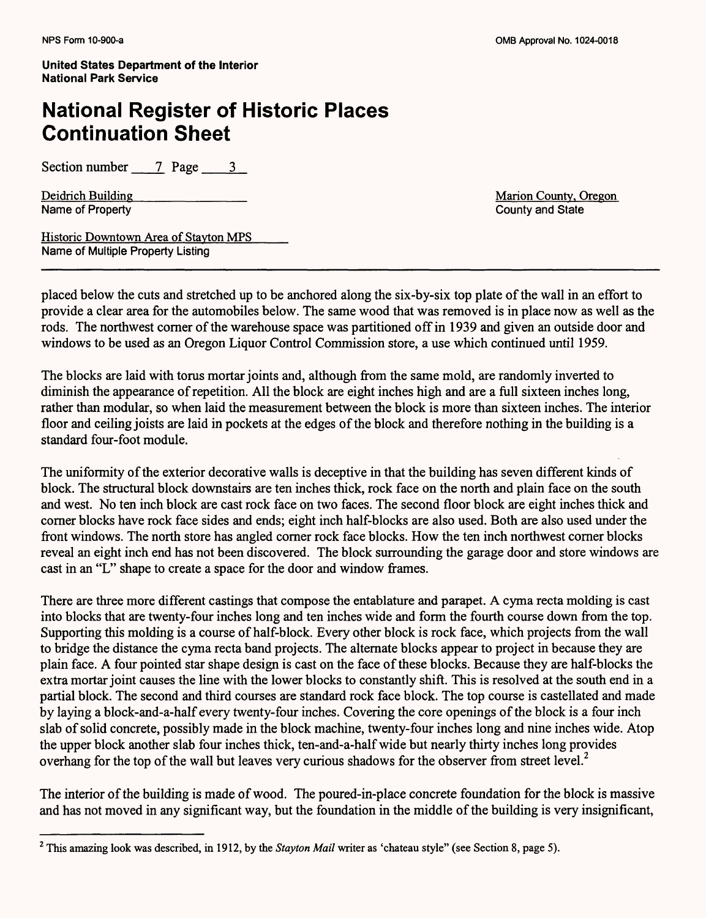## **National Register of Historic Places Continuation Sheet**

Section number  $\qquad$  7 **Page**  $\qquad$  3

Deidrich Building<br>
Name of Property<br>
Name of Property<br>
County and State<br>
County and State Name of Property

Historic Downtown Area of Stayton MPS Name of Multiple Property Listing

placed below the cuts and stretched up to be anchored along the six-by-six top plate of the wall in an effort to provide a clear area for the automobiles below. The same wood that was removed is in place now as well as the rods. The northwest corner of the warehouse space was partitioned off in 1939 and given an outside door and windows to be used as an Oregon Liquor Control Commission store, a use which continued until 1959.

The blocks are laid with torus mortar joints and, although from the same mold, are randomly inverted to diminish the appearance of repetition. All the block are eight inches high and are a full sixteen inches long, rather than modular, so when laid the measurement between the block is more than sixteen inches. The interior floor and ceiling joists are laid in pockets at the edges of the block and therefore nothing in the building is a standard four-foot module.

The uniformity of the exterior decorative walls is deceptive in that the building has seven different kinds of block. The structural block downstairs are ten inches thick, rock face on the north and plain face on the south and west. No ten inch block are cast rock face on two faces. The second floor block are eight inches thick and corner blocks have rock face sides and ends; eight inch half-blocks are also used. Both are also used under the front windows. The north store has angled comer rock face blocks. How the ten inch northwest corner blocks reveal an eight inch end has not been discovered. The block surrounding the garage door and store windows are cast in an "L" shape to create a space for the door and window frames.

There are three more different castings that compose the entablature and parapet. A cyma recta molding is cast into blocks that are twenty-four inches long and ten inches wide and form the fourth course down from the top. Supporting this molding is a course of half-block. Every other block is rock face, which projects from the wall to bridge the distance the cyma recta band projects. The alternate blocks appear to project in because they are plain face. A four pointed star shape design is cast on the face of these blocks. Because they are half-blocks the extra mortar joint causes the line with the lower blocks to constantly shift. This is resolved at the south end in a partial block. The second and third courses are standard rock face block. The top course is castellated and made by laying a block-and-a-half every twenty-four inches. Covering the core openings of the block is a four inch slab of solid concrete, possibly made in the block machine, twenty-four inches long and nine inches wide. Atop the upper block another slab four inches thick, ten-and-a-half wide but nearly thirty inches long provides overhang for the top of the wall but leaves very curious shadows for the observer from street level.<sup>2</sup>

The interior of the building is made of wood. The poured-in-place concrete foundation for the block is massive and has not moved in any significant way, but the foundation in the middle of the building is very insignificant,

This amazing look was described, in 1912, by the *Stayton Mail* writer as 'chateau style" (see Section 8, page 5).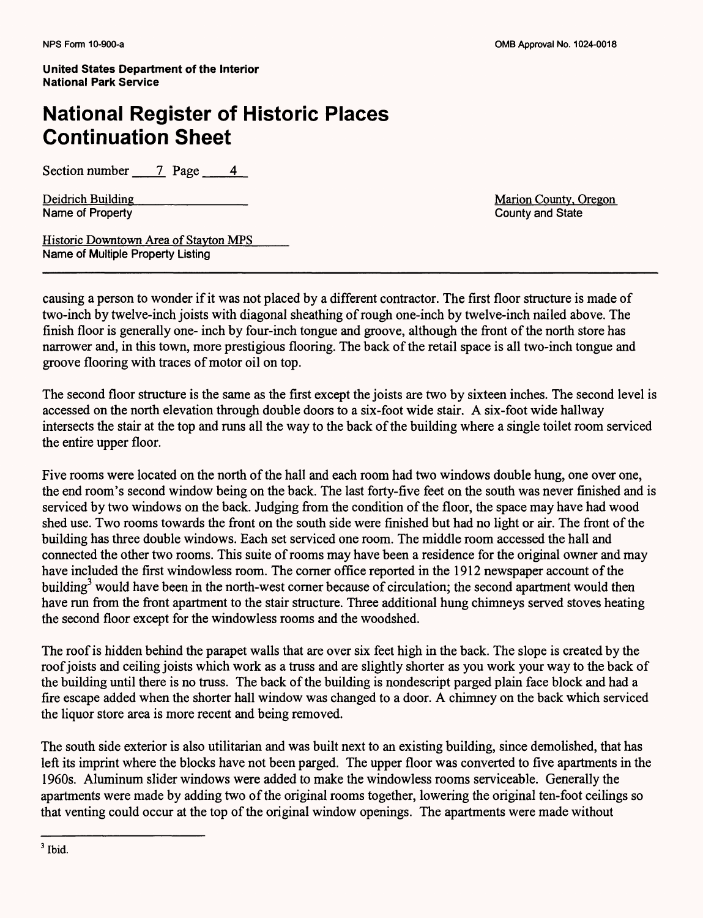## **National Register of Historic Places Continuation Sheet**

Section number  $\overline{7}$  Page 4

Deidrich Building\_\_\_\_\_\_\_\_\_\_\_\_ Marion County. Oregon

County and State

Historic Downtown Area of Stayton MPS Name of Multiple Property Listing

causing a person to wonder if it was not placed by a different contractor. The first floor structure is made of two-inch by twelve-inch joists with diagonal sheathing of rough one-inch by twelve-inch nailed above. The finish floor is generally one- inch by four-inch tongue and groove, although the front of the north store has narrower and, in this town, more prestigious flooring. The back of the retail space is all two-inch tongue and groove flooring with traces of motor oil on top.

The second floor structure is the same as the first except the joists are two by sixteen inches. The second level is accessed on the north elevation through double doors to a six-foot wide stair. A six-foot wide hallway intersects the stair at the top and runs all the way to the back of the building where a single toilet room serviced the entire upper floor.

Five rooms were located on the north of the hall and each room had two windows double hung, one over one, the end room's second window being on the back. The last forty-five feet on the south was never finished and is serviced by two windows on the back. Judging from the condition of the floor, the space may have had wood shed use. Two rooms towards the front on the south side were finished but had no light or air. The front of the building has three double windows. Each set serviced one room. The middle room accessed the hall and connected the other two rooms. This suite of rooms may have been a residence for the original owner and may have included the first windowless room. The comer office reported in the 1912 newspaper account of the building<sup>3</sup> would have been in the north-west corner because of circulation; the second apartment would then have run from the front apartment to the stair structure. Three additional hung chimneys served stoves heating the second floor except for the windowless rooms and the woodshed.

The roof is hidden behind the parapet walls that are over six feet high in the back. The slope is created by the roof joists and ceiling joists which work as a truss and are slightly shorter as you work your way to the back of the building until there is no truss. The back of the building is nondescript parged plain face block and had a fire escape added when the shorter hall window was changed to a door. A chimney on the back which serviced the liquor store area is more recent and being removed.

The south side exterior is also utilitarian and was built next to an existing building, since demolished, that has left its imprint where the blocks have not been parged. The upper floor was converted to five apartments in the 1960s. Aluminum slider windows were added to make the windowless rooms serviceable. Generally the apartments were made by adding two of the original rooms together, lowering the original ten-foot ceilings so that venting could occur at the top of the original window openings. The apartments were made without

 $<sup>3</sup>$  Ibid.</sup>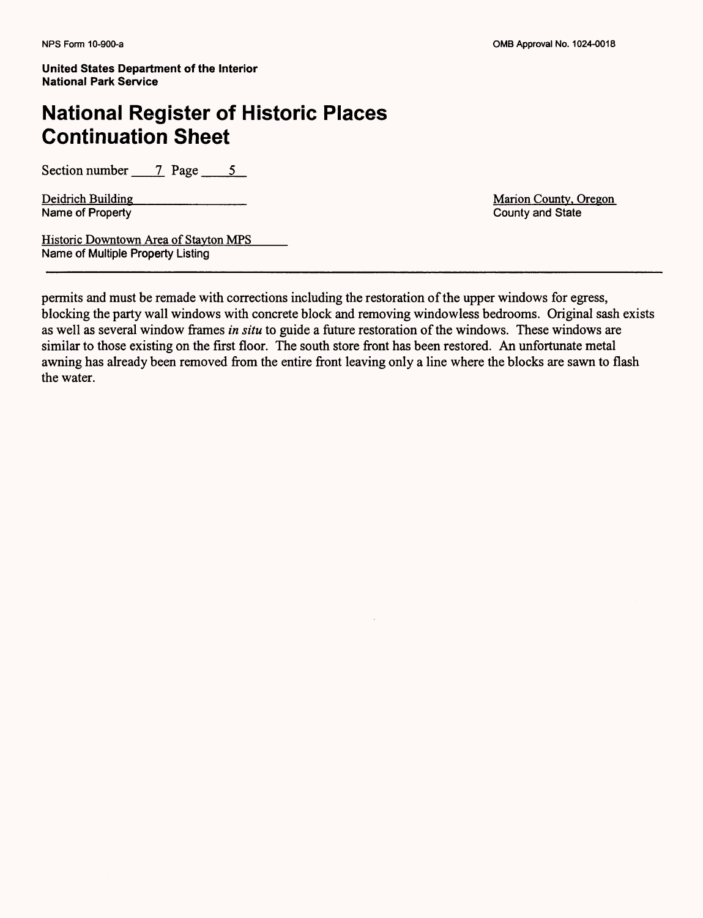## **National Register of Historic Places Continuation Sheet**

Section number  $\qquad$  7 Page 5

Deidrich Building<br>Name of Property<br>County and State<br>County and State Name of Property

Historic Downtown Area of Stayton MPS Name of Multiple Property Listing

permits and must be remade with corrections including the restoration of the upper windows for egress, blocking the party wall windows with concrete block and removing windowless bedrooms. Original sash exists as well as several window frames *in situ* to guide a future restoration of the windows. These windows are similar to those existing on the first floor. The south store front has been restored. An unfortunate metal awning has already been removed from the entire front leaving only a line where the blocks are sawn to flash the water.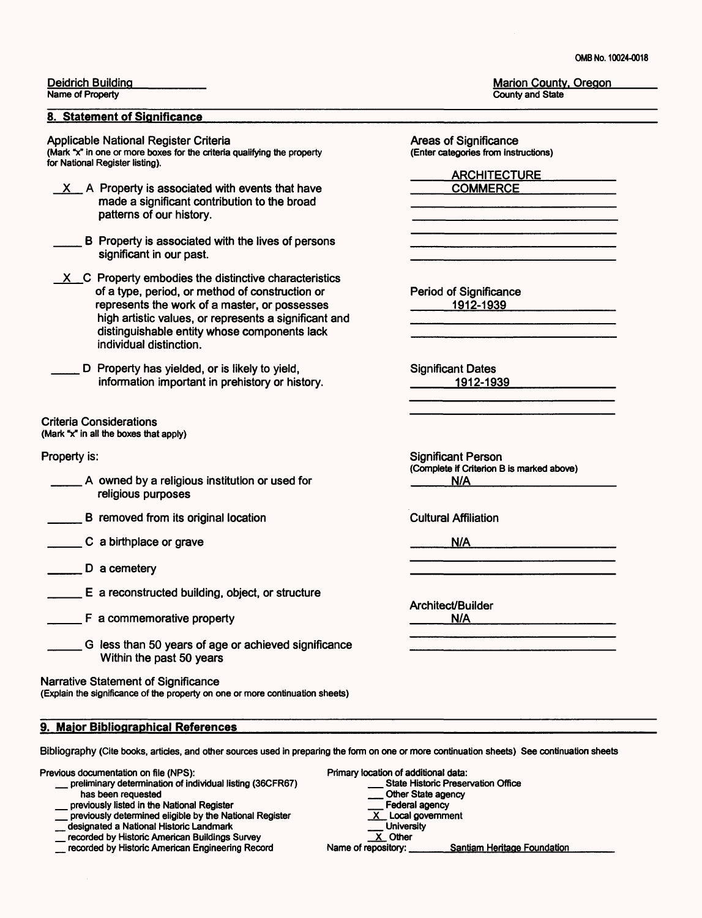0MB No. 10024-0018

#### Deidrich Building

Name of Property

#### **8. Statement of Significance**

Applicable National Register Criteria (Mark "x" in one or more boxes for the criteria qualifying the property for National Register listing).

- A Property is associated with events that have made a significant contribution to the broad patterns of our history.
- B Property is associated with the lives of persons significant in our past.
- $X$  C Property embodies the distinctive characteristics of a type, period, or method of construction or represents the work of a master, or possesses high artistic values, or represents a significant and distinguishable entity whose components lack individual distinction.
- D Property has yielded, or is likely to yield, information important in prehistory or history.

#### Criteria Considerations

(Mark  $x^*$  in all the boxes that apply)

#### Property is:

- A owned by a religious institution or used for religious purposes
- B removed from its original location
- C a birthplace or grave
- D a cemetery
- E a reconstructed building, object, or structure
- F a commemorative property
	- G less than 50 years of age or achieved significance Within the past 50 years

Narrative Statement of Significance

(Explain the significance of the property on one or more continuation sheets)

#### **9. Major Bibliographical References**

Bibliography (Cite books, articles, and other sources used in preparing the form on one or more continuation sheets) See continuation sheets

Previous documentation on file (NPS):

- \_ preliminary determination of individual listing (36CFR67) has been requested
- \_ previously listed in the National Register
- **The previously determined eligible by the National Register**
- \_ designated a National Historic Landmark
- \_ recorded by Historic American Buildings Survey
- \_ recorded by Historic American Engineering Record

Marion County, Oregon County and State

Areas of Significance (Enter categories from instructions)

**ARCHITECTURE** 

Period of Significance 1912-1939

Significant Dates \_\_\_\_1912-1939

Significant Person (Complete if Criterion B is marked above)  $N/A$ 

Cultural Affiliation

N/A

Architect/Builder N/A

Primary location of additional data:

- cation of additional data:<br>\_\_\_\_ State Historic Preservation Office State Historic Prese
- Other State agency<br>Federal agency
- $\frac{\overline{X}}{\overline{X}}$  Local government<br>
University
- 
- 

 $\overline{X}$  Other<br>Name of repository: Santiam Heritage Foundation

\_\_\_\_COMMERCE\_\_\_\_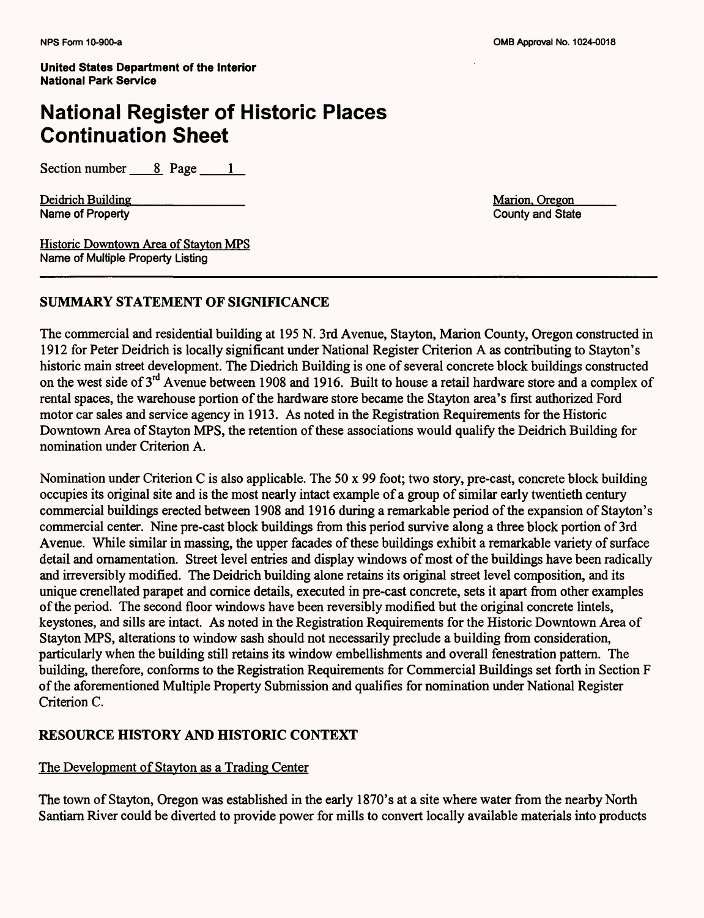### **National Register of Historic Places Continuation Sheet**

Section number 8 Page 1

Deidrich Building<br>Name of Property<br>County and State Name of Property

Historic Downtown Area of Stavton MPS Name of Multiple Property Listing

#### **SUMMARY STATEMENT OF SIGNIFICANCE**

The commercial and residential building at 195 N. 3rd Avenue, Stayton, Marion County, Oregon constructed in 1912 for Peter Deidrich is locally significant under National Register Criterion A as contributing to Stayton's historic main street development. The Diedrich Building is one of several concrete block buildings constructed on the west side of 3<sup>rd</sup> Avenue between 1908 and 1916. Built to house a retail hardware store and a complex of rental spaces, the warehouse portion of the hardware store became the Stayton area's first authorized Ford motor car sales and service agency in 1913. As noted in the Registration Requirements for the Historic Downtown Area of Stayton MPS, the retention of these associations would qualify the Deidrich Building for nomination under Criterion A.

Nomination under Criterion C is also applicable. The 50 x 99 foot; two story, pre-cast, concrete block building occupies its original site and is the most nearly intact example of a group of similar early twentieth century commercial buildings erected between 1908 and 1916 during a remarkable period of the expansion of Stayton's commercial center. Nine pre-cast block buildings from this period survive along a three block portion of 3rd Avenue. While similar in massing, the upper facades of these buildings exhibit a remarkable variety of surface detail and ornamentation. Street level entries and display windows of most of the buildings have been radically and irreversibly modified. The Deidrich building alone retains its original street level composition, and its unique crenellated parapet and cornice details, executed in pre-cast concrete, sets it apart from other examples of the period. The second floor windows have been reversibly modified but the original concrete lintels, keystones, and sills are intact. As noted in the Registration Requirements for the Historic Downtown Area of Stayton MPS, alterations to window sash should not necessarily preclude a building from consideration, particularly when the building still retains its window embellishments and overall fenestration pattern. The building, therefore, conforms to the Registration Requirements for Commercial Buildings set forth in Section F of the aforementioned Multiple Property Submission and qualifies for nomination under National Register Criterion C.

#### **RESOURCE HISTORY AND HISTORIC CONTEXT**

#### The Development of Stavton as a Trading Center

The town of Stayton, Oregon was established in the early 1870's at a site where water from the nearby North Santiam River could be diverted to provide power for mills to convert locally available materials into products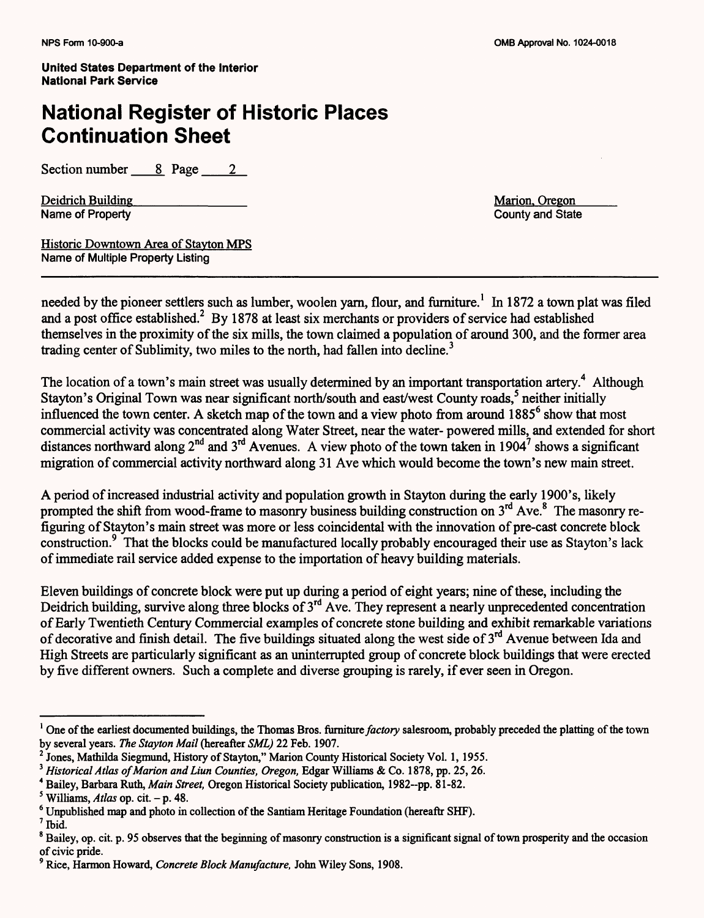## **National Register of Historic Places Continuation Sheet**

Section number 2 Page 2

Deidrich Building<br>
Name of Property<br>
Name of Property<br>
County and State Name of Property

Historic Downtown Area of Stavton MPS Name of Multiple Property Listing

needed by the pioneer settlers such as lumber, woolen yarn, flour, and furniture.<sup>1</sup> In 1872 a town plat was filed and a post office established.<sup>2</sup> By 1878 at least six merchants or providers of service had established themselves in the proximity of the six mills, the town claimed a population of around 300, and the former area trading center of Sublimity, two miles to the north, had fallen into decline.<sup>3</sup>

The location of a town's main street was usually determined by an important transportation artery.<sup>4</sup> Although Stayton's Original Town was near significant north/south and east/west County roads,<sup>5</sup> neither initially influenced the town center. A sketch map of the town and a view photo from around 1885<sup>6</sup> show that most commercial activity was concentrated along Water Street, near the water- powered mills, and extended for short distances northward along  $2^{nd}$  and  $3^{rd}$  Avenues. A view photo of the town taken in 1904<sup>7</sup> shows a significant migration of commercial activity northward along 31 Ave which would become the town's new main street.

A period of increased industrial activity and population growth in Stayton during the early 1900's, likely prompted the shift from wood-frame to masonry business building construction on  $3<sup>rd</sup>$  Ave.<sup>8</sup> The masonry refiguring of Stayton's main street was more or less coincidental with the innovation of pre-cast concrete block construction.<sup>9</sup> That the blocks could be manufactured locally probably encouraged their use as Stayton's lack of immediate rail service added expense to the importation of heavy building materials.

Eleven buildings of concrete block were put up during a period of eight years; nine of these, including the Deidrich building, survive along three blocks of 3<sup>rd</sup> Ave. They represent a nearly unprecedented concentration of Early Twentieth Century Commercial examples of concrete stone building and exhibit remarkable variations of decorative and finish detail. The five buildings situated along the west side of  $3<sup>rd</sup>$  Avenue between Ida and High Streets are particularly significant as an uninterrupted group of concrete block buildings that were erected by five different owners. Such a complete and diverse grouping is rarely, if ever seen in Oregon.

<sup>&</sup>lt;sup>1</sup> One of the earliest documented buildings, the Thomas Bros, furniture *factory* salesroom, probably preceded the platting of the town by several years. *The Stayton Mail* (hereafter *SML)* 22 Feb. 1907.

<sup>2</sup> Jones, Mathilda Siegmund, History of Stayton," Marion County Historical Society Vol. 1, 1955.

<sup>&</sup>lt;sup>3</sup> Historical Atlas of Marion and Liun Counties, Oregon, Edgar Williams & Co. 1878, pp. 25, 26.

<sup>4</sup> Bailey, Barbara Ruth, *Main Street,* Oregon Historical Society publication, 1982-pp. 81-82.

 $<sup>5</sup>$  Williams, *Atlas* op. cit. - p. 48.</sup>

<sup>6</sup> Unpublished map and photo in collection of the Santiam Heritage Foundation (hereaftr SHF).

<sup>7</sup> Ibid.

<sup>&</sup>lt;sup>8</sup> Bailey, op. cit. p. 95 observes that the beginning of masonry construction is a significant signal of town prosperity and the occasion of civic pride.

<sup>9</sup> Rice, Harmon Howard, *Concrete Block Manufacture,* John Wiley Sons, 1908.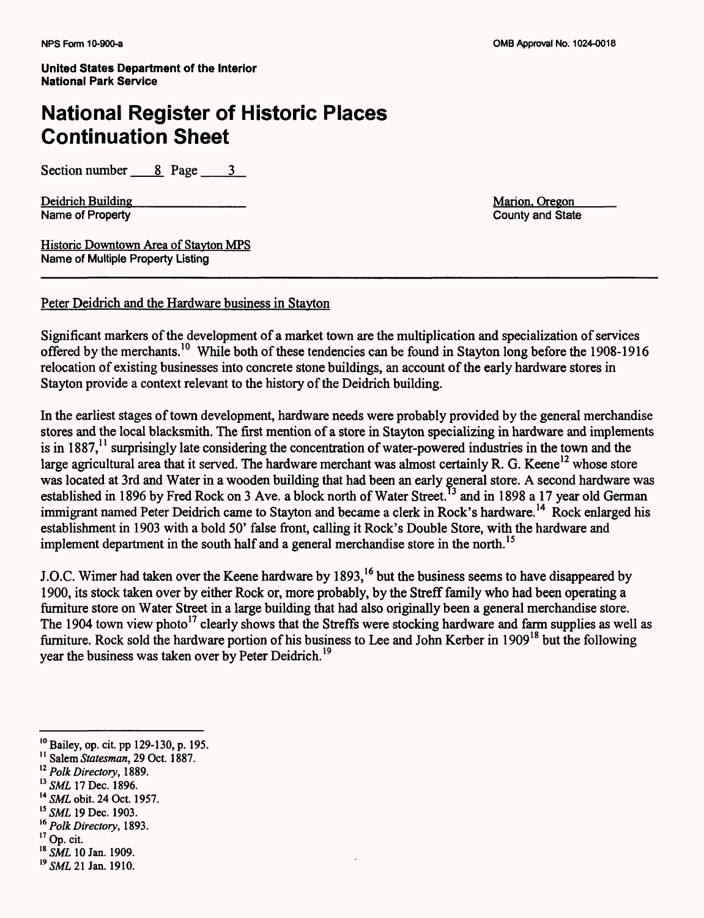## **National Register of Historic Places Continuation Sheet**

Section number 8 Page 3

Deidrich Building<br>Name of Property County and State Name of Property

Historic Downtown Area of Stavton MPS Name of Multiple Property Listing

Peter Deidrich and the Hardware business in Stavton

Significant markers of the development of a market town are the multiplication and specialization of services offered by the merchants. 10 While both of these tendencies can be found in Stayton long before the 1908-1916 relocation of existing businesses into concrete stone buildings, an account of the early hardware stores in Stayton provide a context relevant to the history of the Deidrich building.

In the earliest stages of town development, hardware needs were probably provided by the general merchandise stores and the local blacksmith. The first mention of a store in Stayton specializing in hardware and implements is in 1887,<sup>11</sup> surprisingly late considering the concentration of water-powered industries in the town and the large agricultural area that it served. The hardware merchant was almost certainly R. G. Keene<sup>12</sup> whose store was located at 3rd and Water in a wooden building that had been an early general store. A second hardware was established in 1896 by Fred Rock on 3 Ave. a block north of Water Street.<sup>13</sup> and in 1898 a 17 year old German immigrant named Peter Deidrich came to Stayton and became a clerk in Rock's hardware.<sup>14</sup> Rock enlarged his establishment in 1903 with a bold 50' false front, calling it Rock's Double Store, with the hardware and implement department in the south half and a general merchandise store in the north.<sup>15</sup>

J.O.C. Wimer had taken over the Keene hardware by 1893,<sup>16</sup> but the business seems to have disappeared by 1900, its stock taken over by either Rock or, more probably, by the Streff family who had been operating a furniture store on Water Street in a large building that had also originally been a general merchandise store. The 1904 town view photo<sup>17</sup> clearly shows that the Streffs were stocking hardware and farm supplies as well as furniture. Rock sold the hardware portion of his business to Lee and John Kerber in 1909<sup>18</sup> but the following year the business was taken over by Peter Deidrich.<sup>19</sup>

<sup>10</sup> Bailey, op. cit. pp 129-130, p. 195.

<sup>11</sup> Salem *Statesman,* 29 Oct. 1887.

<sup>12</sup>*Polk Directory,* 1889.

<sup>&</sup>lt;sup>13</sup> SML 17 Dec. 1896.

<sup>14</sup>*SML* obit. 24 Oct. 1957.

<sup>15</sup>*SML* 19 Dec. 1903.

<sup>16</sup>*Polk Directory,* 1893.

<sup>17</sup> Op. cit.

<sup>18</sup>*SML* 10 Jan. 1909.

*<sup>19</sup> SML 21* Jan. 1910.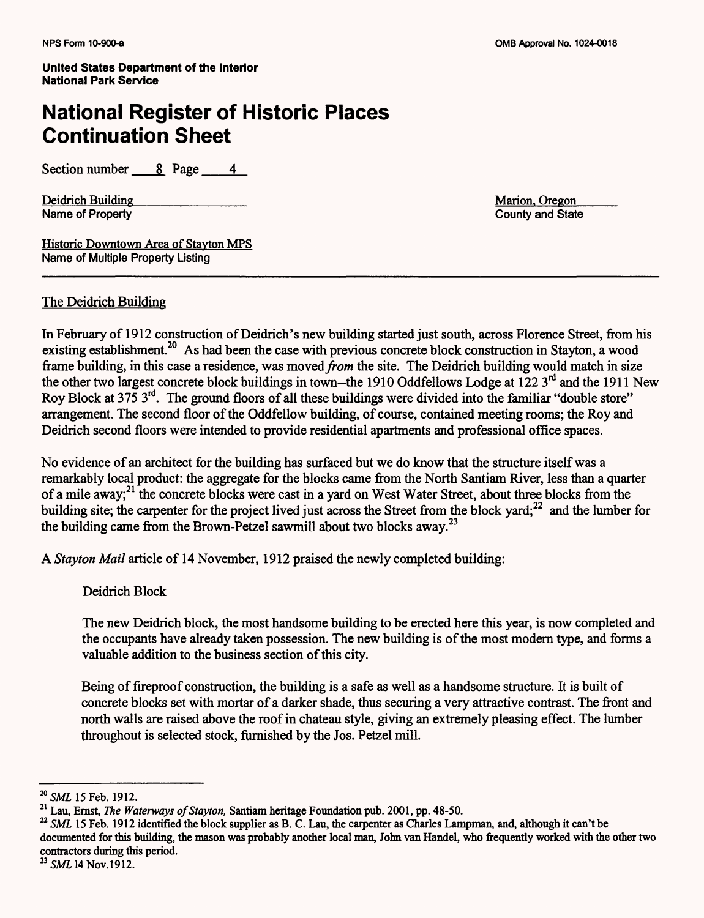### National Register of Historic Places Continuation Sheet

Section number  $\begin{array}{ccc} 8 & \text{Page} & 4 \end{array}$ 

Deidrich Building<br>Name of Property<br>Name of Property<br>County and State Name of Property

Historic Downtown Area of Stavton MPS Name of Multiple Property Listing

#### The Deidrich Building

In February of 1912 construction of Deidrich's new building started just south, across Florence Street, from his existing establishment.<sup>20</sup> As had been the case with previous concrete block construction in Stayton, a wood frame building, in this case a residence, was *moved from* the site. The Deidrich building would match in size the other two largest concrete block buildings in town-the 1910 Oddfellows Lodge at  $122 \, 3^{rd}$  and the 1911 New Roy Block at 375 3rd. The ground floors of all these buildings were divided into the familiar "double store" arrangement. The second floor of the Oddfellow building, of course, contained meeting rooms; the Roy and Deidrich second floors were intended to provide residential apartments and professional office spaces.

No evidence of an architect for the building has surfaced but we do know that the structure itself was a remarkably local product: the aggregate for the blocks came from the North Santiam River, less than a quarter of a mile away;<sup>21</sup> the concrete blocks were cast in a yard on West Water Street, about three blocks from the building site; the carpenter for the project lived just across the Street from the block yard; $^{22}$  and the lumber for the building came from the Brown-Petzel sawmill about two blocks away.<sup>23</sup>

A *Stayton Mail* article of 14 November, 1912 praised the newly completed building:

Deidrich Block

The new Deidrich block, the most handsome building to be erected here this year, is now completed and the occupants have already taken possession. The new building is of the most modern type, and forms a valuable addition to the business section of this city.

Being of fireproof construction, the building is a safe as well as a handsome structure. It is built of concrete blocks set with mortar of a darker shade, thus securing a very attractive contrast. The front and north walls are raised above the roof in chateau style, giving an extremely pleasing effect. The lumber throughout is selected stock, furnished by the Jos. Petzel mill.

<sup>&</sup>lt;sup>20</sup> SML 15 Feb. 1912.

<sup>21</sup> Lau, Ernst, *The Waterways of Stayton,* Santiam heritage Foundation pub. 2001, pp. 48-50.

<sup>&</sup>lt;sup>22</sup> SML 15 Feb. 1912 identified the block supplier as B. C. Lau, the carpenter as Charles Lampman, and, although it can't be documented for this building, the mason was probably another local man, John van Handel, who frequently worked with the other two contractors during this period.

<sup>&</sup>lt;sup>23</sup> SML 14 Nov.1912.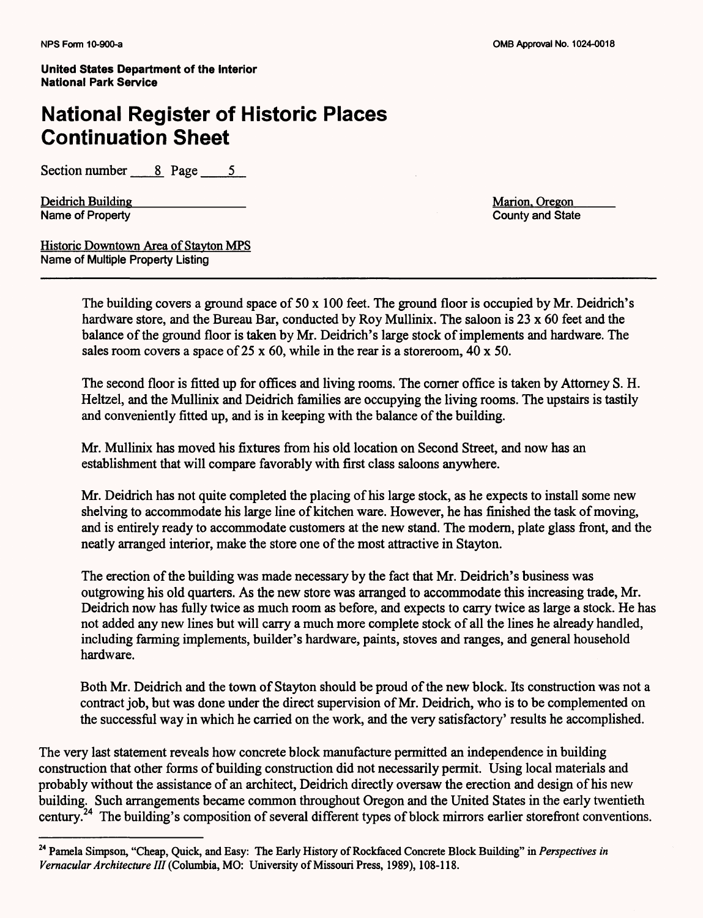### **National Register of Historic Places Continuation Sheet**

Section number 8 Page 5

Deidrich Building<br>
Name of Property<br>
Name of Property<br>
County and State Name of Property

Historic Downtown Area of Stavton MPS Name of Multiple Property Listing

The building covers a ground space of  $50 \times 100$  feet. The ground floor is occupied by Mr. Deidrich's hardware store, and the Bureau Bar, conducted by Roy Mullinix. The saloon is 23 x 60 feet and the balance of the ground floor is taken by Mr. Deidrich's large stock of implements and hardware. The sales room covers a space of 25 x 60, while in the rear is a storeroom,  $40 \times 50$ .

The second floor is fitted up for offices and living rooms. The corner office is taken by Attorney S. H. Heltzel, and the Mullinix and Deidrich families are occupying the living rooms. The upstairs is tastily and conveniently fitted up, and is in keeping with the balance of the building.

Mr. Mullinix has moved his fixtures from his old location on Second Street, and now has an establishment that will compare favorably with first class saloons anywhere.

Mr. Deidrich has not quite completed the placing of his large stock, as he expects to install some new shelving to accommodate his large line of kitchen ware. However, he has finished the task of moving, and is entirely ready to accommodate customers at the new stand. The modern, plate glass front, and the neatly arranged interior, make the store one of the most attractive in Stayton.

The erection of the building was made necessary by the fact that Mr. Deidrich's business was outgrowing his old quarters. As the new store was arranged to accommodate this increasing trade, Mr. Deidrich now has fully twice as much room as before, and expects to carry twice as large a stock. He has not added any new lines but will carry a much more complete stock of all the lines he already handled, including farming implements, builder's hardware, paints, stoves and ranges, and general household hardware.

Both Mr. Deidrich and the town of Stayton should be proud of the new block. Its construction was not a contract job, but was done under the direct supervision of Mr. Deidrich, who is to be complemented on the successful way in which he carried on the work, and the very satisfactory' results he accomplished.

The very last statement reveals how concrete block manufacture permitted an independence in building construction that other forms of building construction did not necessarily permit. Using local materials and probably without the assistance of an architect, Deidrich directly oversaw the erection and design of his new building. Such arrangements became common throughout Oregon and the United States in the early twentieth century.<sup>24</sup> The building's composition of several different types of block mirrors earlier storefront conventions.

<sup>24</sup> Pamela Simpson, "Cheap, Quick, and Easy: The Early History of Rockfaced Concrete Block Building" in *Perspectives in Vernacular Architecture III* (Columbia, MO: University of Missouri Press, 1989), 108-118.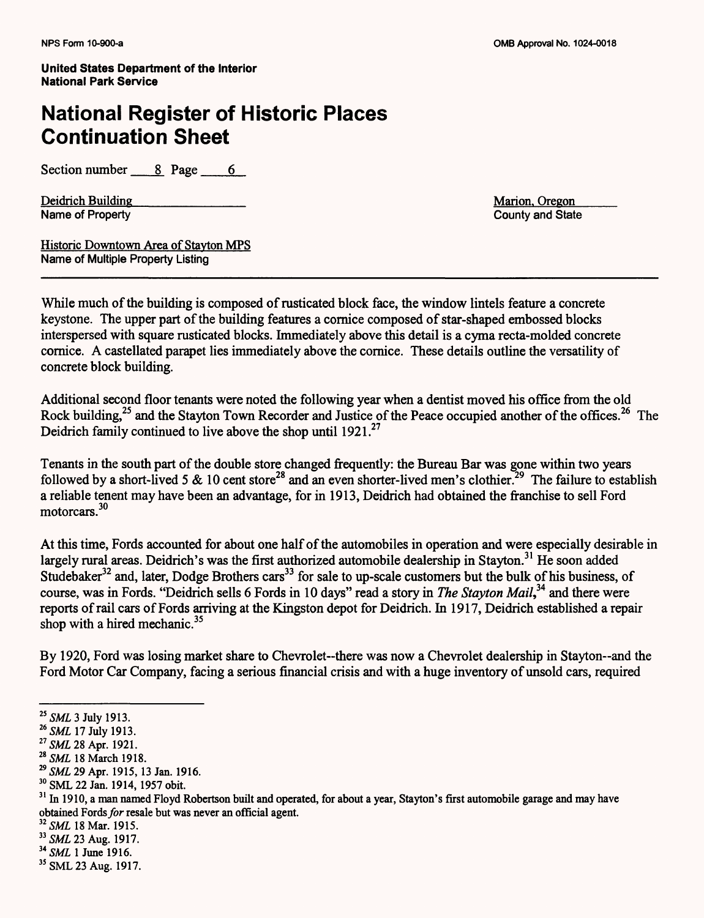### **National Register of Historic Places Continuation Sheet**

Section number  $\_\_\_\$ 8 Page 6

Deidrich Building<br>
Name of Property<br>
County and State

County and State

Historic Downtown Area of Stavton MPS Name of Multiple Property Listing

While much of the building is composed of rusticated block face, the window lintels feature a concrete keystone. The upper part of the building features a cornice composed of star-shaped embossed blocks interspersed with square rusticated blocks. Immediately above this detail is a cyma recta-molded concrete cornice. A castellated parapet lies immediately above the cornice. These details outline the versatility of concrete block building.

Additional second floor tenants were noted the following year when a dentist moved his office from the old Rock building,<sup>25</sup> and the Stayton Town Recorder and Justice of the Peace occupied another of the offices.<sup>26</sup> The Deidrich family continued to live above the shop until 1921.<sup>27</sup>

Tenants in the south part of the double store changed frequently: the Bureau Bar was gone within two years followed by a short-lived 5  $\&$  10 cent store<sup>28</sup> and an even shorter-lived men's clothier.<sup>29</sup> The failure to establish a reliable tenent may have been an advantage, for in 1913, Deidrich had obtained the franchise to sell Ford motorcars.<sup>30</sup>

At this time, Fords accounted for about one half of the automobiles in operation and were especially desirable in largely rural areas. Deidrich's was the first authorized automobile dealership in Stayton.<sup>31</sup> He soon added Studebaker<sup>32</sup> and, later, Dodge Brothers cars<sup>33</sup> for sale to up-scale customers but the bulk of his business, of course, was in Fords. "Deidrich sells 6 Fords in 10 days" read a story in *The Stayton Mail <sup>34</sup>*and there were reports of rail cars of Fords arriving at the Kingston depot for Deidrich. In 1917, Deidrich established a repair shop with a hired mechanic. $35$ 

By 1920, Ford was losing market share to Chevrolet--there was now a Chevrolet dealership in Stayton--and the Ford Motor Car Company, facing a serious financial crisis and with a huge inventory of unsold cars, required

*29 SML* 29 Apr. 1915, 13 Jan. 1916.

<sup>32</sup> SML 18 Mar. 1915.

<sup>25</sup>*SML* 3 July 1913.

<sup>26</sup>*SML* 17 July 1913.

<sup>27</sup>*SML* 28 Apr. 1921.

<sup>28</sup>*SML* 18 March 1918.

<sup>30</sup> SML 22 Jan. 1914, 1957 obit.

<sup>&</sup>lt;sup>31</sup> In 1910, a man named Floyd Robertson built and operated, for about a year, Stayton's first automobile garage and may have obtained Fords for resale but was never an official agent.

<sup>33</sup>*SML* 23 Aug. 1917.

<sup>&</sup>lt;sup>34</sup> SML 1 June 1916.

<sup>35</sup> SML 23 Aug. 1917.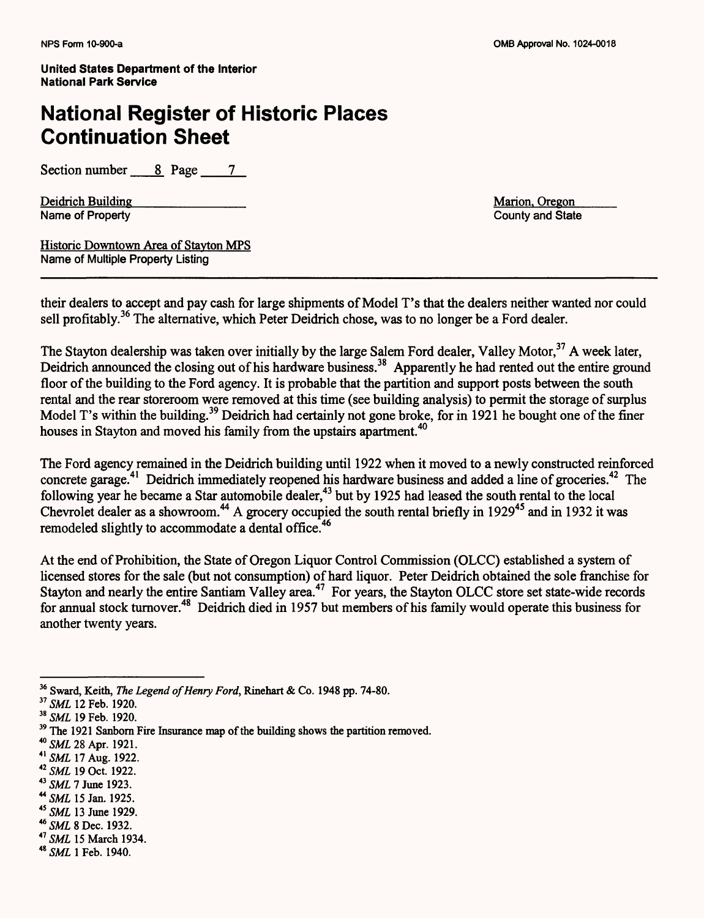## National Register of Historic Places Continuation Sheet

Section number 8 Page 7

Deidrich Building<br>Name of Property<br>Name of Property<br>County and State Name of Property

Historic Downtown Area of Stavton MPS Name of Multiple Property Listing

their dealers to accept and pay cash for large shipments of Model T's that the dealers neither wanted nor could sell profitably.<sup>36</sup> The alternative, which Peter Deidrich chose, was to no longer be a Ford dealer.

The Stayton dealership was taken over initially by the large Salem Ford dealer, Valley Motor,<sup>37</sup> A week later, Deidrich announced the closing out of his hardware business.<sup>38</sup> Apparently he had rented out the entire ground floor of the building to the Ford agency. It is probable that the partition and support posts between the south rental and the rear storeroom were removed at this time (see building analysis) to permit the storage of surplus Model T's within the building.<sup>39</sup> Deidrich had certainly not gone broke, for in 1921 he bought one of the finer houses in Stayton and moved his family from the upstairs apartment.<sup>40</sup>

The Ford agency remained in the Deidrich building until 1922 when it moved to a newly constructed reinforced concrete garage.<sup>41</sup> Deidrich immediately reopened his hardware business and added a line of groceries.<sup>42</sup> The following year he became a Star automobile dealer,<sup>43</sup> but by 1925 had leased the south rental to the local Chevrolet dealer as a showroom.<sup>44</sup> A grocery occupied the south rental briefly in 1929<sup>45</sup> and in 1932 it was remodeled slightly to accommodate a dental office.<sup>46</sup>

At the end of Prohibition, the State of Oregon Liquor Control Commission (OLCC) established a system of licensed stores for the sale (but not consumption) of hard liquor. Peter Deidrich obtained the sole franchise for Stayton and nearly the entire Santiam Valley area.<sup>47</sup> For years, the Stayton OLCC store set state-wide records for annual stock turnover.48 Deidrich died in 1957 but members of his family would operate this business for another twenty years.

<sup>45</sup>*SML* 13 June 1929.

<sup>47</sup>*SML15* March 1934.

<sup>36</sup> Sward, Keith, *The Legend of Henry Ford,* Rinehart & Co. 1948 pp. 74-80.

<sup>37</sup>*SML* 12 Feb. 1920.

<sup>38</sup>*SML* 19 Feb. 1920.

<sup>&</sup>lt;sup>39</sup> The 1921 Sanborn Fire Insurance map of the building shows the partition removed.

<sup>40</sup>*SML* 28 Apr. 1921.

*<sup>41</sup> SML 11 Aug.* 1922.

<sup>42</sup>*SML* 19 Oct. 1922.

<sup>43</sup>*SML 7* June 1923.

<sup>44</sup>*SML* 15 Jan. 1925.

<sup>&</sup>lt;sup>46</sup> SML 8 Dec. 1932.

<sup>&</sup>lt;sup>48</sup> SML 1 Feb. 1940.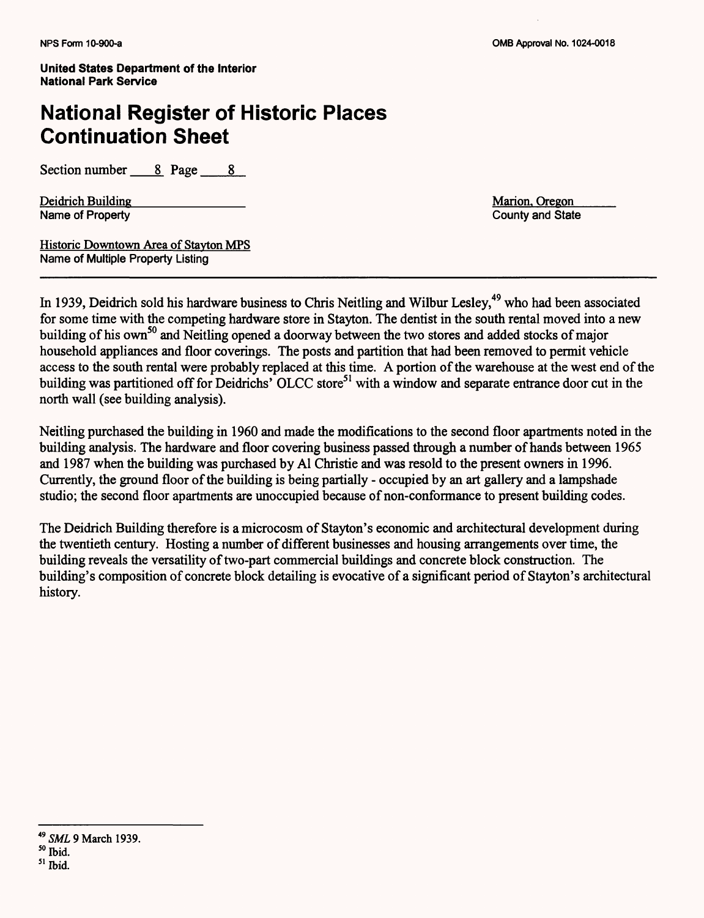## **National Register of Historic Places Continuation Sheet**

Section number 8 Page 8

Deidrich Building<br>
Name of Property<br>
Name of Property<br>
County and State Name of Property

Historic Downtown Area of Stavton MPS Name of Multiple Property Listing

In 1939, Deidrich sold his hardware business to Chris Neitling and Wilbur Lesley,<sup>49</sup> who had been associated for some time with the competing hardware store in Stayton. The dentist in the south rental moved into a new building of his own<sup>50</sup> and Neitling opened a doorway between the two stores and added stocks of major household appliances and floor coverings. The posts and partition that had been removed to permit vehicle access to the south rental were probably replaced at this time. A portion of the warehouse at the west end of the building was partitioned off for Deidrichs' OLCC store<sup>51</sup> with a window and separate entrance door cut in the north wall (see building analysis).

Neitling purchased the building in 1960 and made the modifications to the second floor apartments noted in the building analysis. The hardware and floor covering business passed through a number of hands between 1965 and 1987 when the building was purchased by Al Christie and was resold to the present owners in 1996. Currently, the ground floor of the building is being partially - occupied by an art gallery and a lampshade studio; the second floor apartments are unoccupied because of non-conformance to present building codes.

The Deidrich Building therefore is a microcosm of Stayton's economic and architectural development during the twentieth century. Hosting a number of different businesses and housing arrangements over time, the building reveals the versatility of two-part commercial buildings and concrete block construction. The building's composition of concrete block detailing is evocative of a significant period of Stayton's architectural history.

<sup>49</sup>*SML* 9 March 1939. 50 Ibid.

<sup>51</sup> Ibid.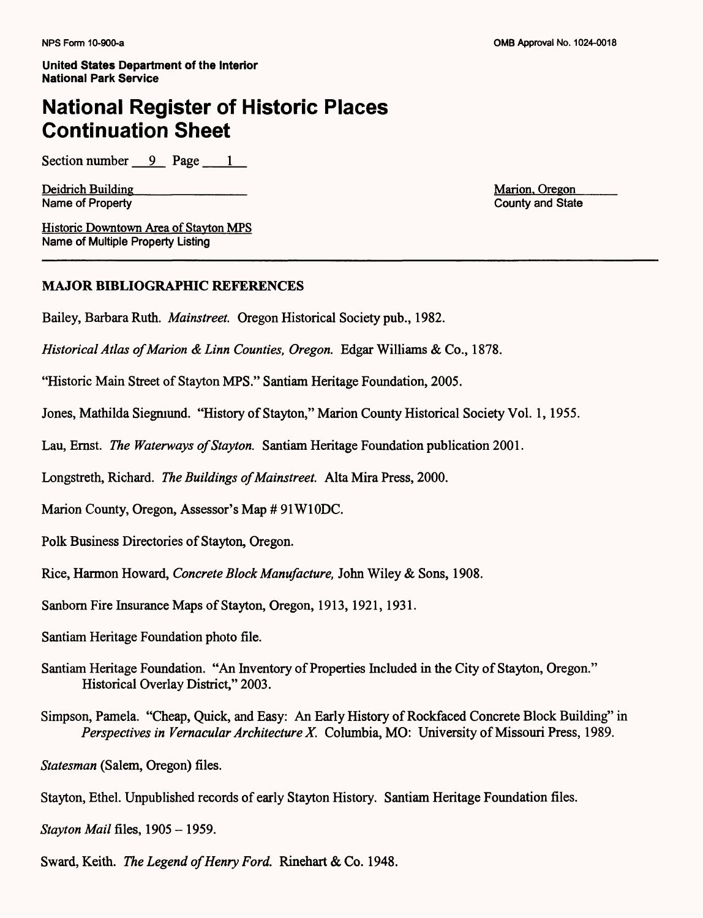#### **National Register of Historic Places Continuation Sheet**

Section number *9* Page 1

Deidrich Building<br>Name of Property<br>Name of Property<br>County and State Name of Property

Historic Downtown Area of Stavton MPS Name of Multiple Property Listing

#### **MAJOR BIBLIOGRAPHIC REFERENCES**

Bailey, Barbara Ruth. *Mainstreet.* Oregon Historical Society pub., 1982.

*Historical Atlas of Marion &Linn Counties, Oregon.* Edgar Williams & Co., 1878.

"Historic Main Street of Stayton MPS." Santiam Heritage Foundation, 2005.

Jones, Mathilda Siegmund. "History of Stayton," Marion County Historical Society Vol. 1,1955.

Lau, Ernst. *The Waterways of Stayton.* Santiam Heritage Foundation publication 2001.

Longstreth, Richard. *The Buildings of Mainstreet.* Alta Mira Press, 2000.

Marion County, Oregon, Assessor's Map *#* 91W10DC.

Polk Business Directories of Stayton, Oregon.

Rice, Harmon Howard, *Concrete Block Manufacture,* John Wiley & Sons, 1908.

Sanborn Fire Insurance Maps of Stayton, Oregon, 1913, 1921, 1931.

- Santiam Heritage Foundation photo file.
- Santiam Heritage Foundation. "An Inventory of Properties Included in the City of Stayton, Oregon." Historical Overlay District," 2003.
- Simpson, Pamela. "Cheap, Quick, and Easy: An Early History of Rockfaced Concrete Block Building" in *Perspectives in Vernacular Architecture X.* Columbia, MO: University of Missouri Press, 1989.

*Statesman* (Salem, Oregon) files.

Stayton, Ethel. Unpublished records of early Stayton History. Santiam Heritage Foundation files.

*Stayton Mail files, 1905 - 1959.* 

Sward, Keith. *The Legend of Henry Ford.* Rinehart & Co. 1948.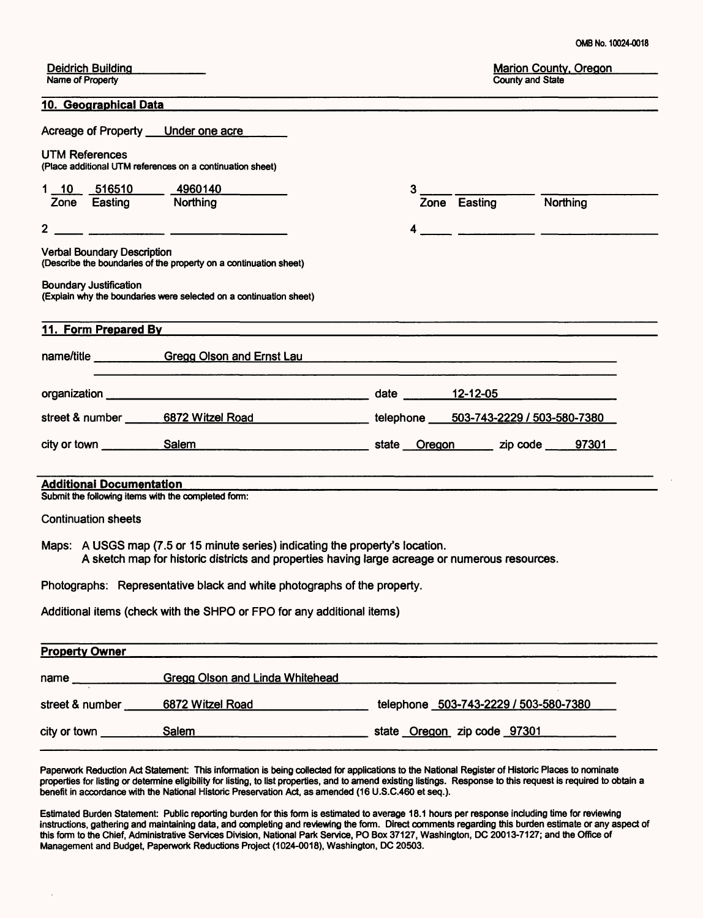| Deidrich Building |  |
|-------------------|--|
| Name of Property  |  |

#### **10. Geographical Data**

|                                    | Acreage of Property Under one acre                                                                                                                                                                                             |   |                       |  |
|------------------------------------|--------------------------------------------------------------------------------------------------------------------------------------------------------------------------------------------------------------------------------|---|-----------------------|--|
| <b>UTM References</b>              | (Place additional UTM references on a continuation sheet)                                                                                                                                                                      |   |                       |  |
|                                    | 1 10 516510 4960140                                                                                                                                                                                                            | 3 |                       |  |
| Zone Easting Northing              |                                                                                                                                                                                                                                |   | Zone Easting Northing |  |
|                                    |                                                                                                                                                                                                                                | 4 |                       |  |
| <b>Verbal Boundary Description</b> | (Describe the boundaries of the property on a continuation sheet)                                                                                                                                                              |   |                       |  |
| <b>Boundary Justification</b>      | (Explain why the boundaries were selected on a continuation sheet)                                                                                                                                                             |   |                       |  |
|                                    |                                                                                                                                                                                                                                |   |                       |  |
| 11. Form Prepared By               |                                                                                                                                                                                                                                |   |                       |  |
|                                    | name/title Gregg Olson and Ernst Lau New York Contract Contract Contract Contract Contract Contract Contract C<br><u> 1989 - Jan Bernard Bernard, amerikan bernama (h. 1988).</u>                                              |   |                       |  |
|                                    |                                                                                                                                                                                                                                |   | date 12-12-05         |  |
|                                    | street & number 6872 Witzel Road 1986 10 Linux 1 and 10 Linux 1 and 10 Linux 1 and 10 Linux 1 and 10 Linux 1 and 10 Linux 1 and 10 Linux 1 and 10 Linux 1 and 10 Linux 1 and 10 Linux 1 and 10 Linux 1 and 10 Linux 1 and 10 L |   |                       |  |
|                                    |                                                                                                                                                                                                                                |   |                       |  |
|                                    |                                                                                                                                                                                                                                |   |                       |  |
| <b>Additional Documentation</b>    |                                                                                                                                                                                                                                |   |                       |  |
|                                    | Submit the following items with the completed form:                                                                                                                                                                            |   |                       |  |
| <b>Continuation sheets</b>         |                                                                                                                                                                                                                                |   |                       |  |
|                                    | Maps: A USGS map (7.5 or 15 minute series) indicating the property's location.<br>A sketch map for historic districts and properties having large acreage or numerous resources.                                               |   |                       |  |
|                                    | Photographs: Representative black and white photographs of the property.                                                                                                                                                       |   |                       |  |

Additional items (check with the SHPO or FPO for any additional items)

| <b>Property Owner</b> |                                        |                                       |
|-----------------------|----------------------------------------|---------------------------------------|
| name                  | <b>Gregg Olson and Linda Whitehead</b> |                                       |
| street & number       | 6872 Witzel Road                       | telephone 503-743-2229 / 503-580-7380 |
| city or town          | Salem                                  | state Oregon zip code 97301           |

Paperwork Reduction Act Statement: This information is being collected for applications to the National Register of Historic Places to nominate properties for listing or determine eligibility for listing, to list properties, and to amend existing listings. Response to this request is required to obtain a benefit in accordance with the National Historic Preservation Act, as amended (16 U.S.C.460 et seq.).

Estimated Burden Statement: Public reporting burden for this form is estimated to average 18.1 hours per response including time for reviewing instructions, gathering and maintaining data, and completing and reviewing the form. Direct comments regarding this burden estimate or any aspect of this form to the Chief, Administrative Services Division, National Park Service, PO Box 37127, Washington, DC 20013-7127; and the Office of Management and Budget, Paperwork Reductions Project (1024-0018), Washington, DC 20503.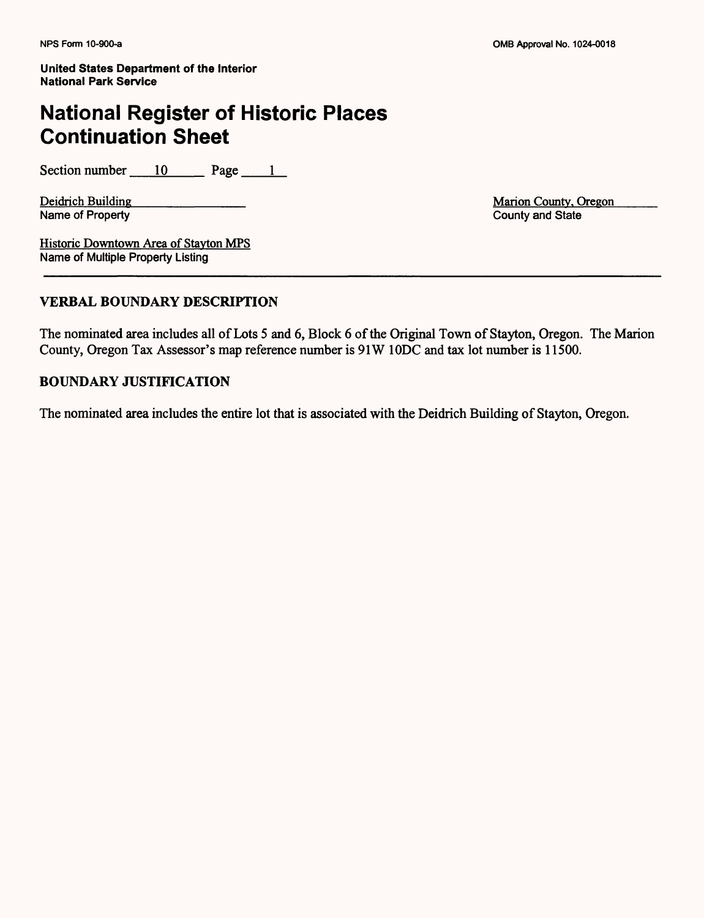## **National Register of Historic Places Continuation Sheet**

Section number  $10$  Page 1

Name of Property

Deidrich Building<br>
Name of Property<br>
Name of Property<br>
County and State<br>
County and State

Historic Downtown Area of Stayton MPS Name of Multiple Property Listing

#### **VERBAL BOUNDARY DESCRIPTION**

The nominated area includes all of Lots 5 and 6, Block 6 of the Original Town of Stayton, Oregon. The Marion County, Oregon Tax Assessor's map reference number is 91W 10DC and tax lot number is 11500.

#### **BOUNDARY JUSTIFICATION**

The nominated area includes the entire lot that is associated with the Deidrich Building of Stayton, Oregon.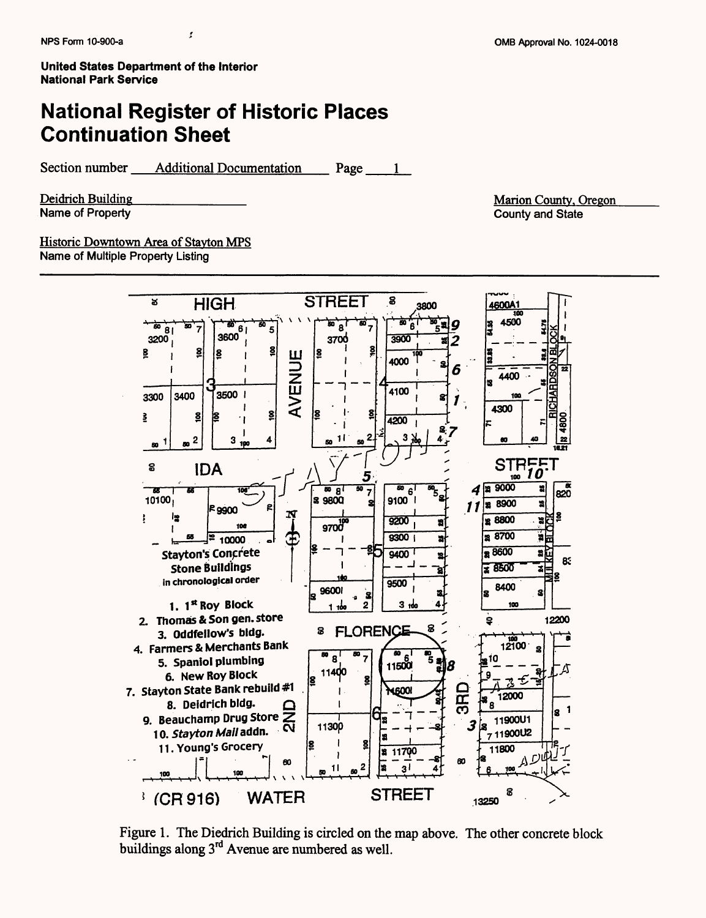### **National Register of Historic Places Continuation Sheet**

Section number <u>Additional Documentation</u> Page

Deidrich Building\_\_\_\_\_\_\_\_\_\_\_ Name of Property

Marion County. Oregon County and State



Figure 1. The Diedrich Building is circled on the map above. The other concrete block buildings along 3rd Avenue are numbered as well.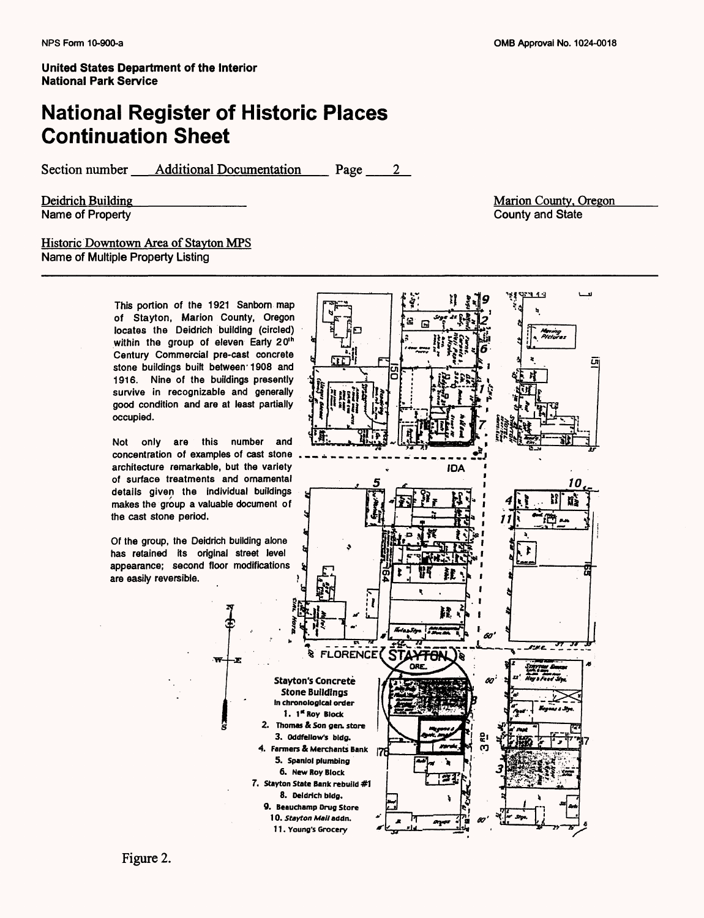### **National Register of Historic Places Continuation Sheet**

Section number <u>Additional Documentation</u> Page

Deidrich Building Name of Property

Marion County. Oregon County and State

#### Historic Downtown Area of Stavton MPS Name of Multiple Property Listing

This portion of the 1921 Sanborn map of Stayton, Marion County, Oregon locates the Deidrich building (circled) within the group of eleven Early 20<sup>th</sup> Century Commercial pre-cast concrete stone buildings built between'1908 and 1916. Nine of the buildings presently survive in recognizable and generally good condition and are at least partially occupied.

Not only are this number and concentration of examples of cast stone architecture remarkable, but the variety of surface treatments and ornamental details given the individual buildings makes the group a valuable document of the cast stone period.

Of the group, the Deidrich building alone has retained its original street level appearance; second floor modifications are easily reversible.

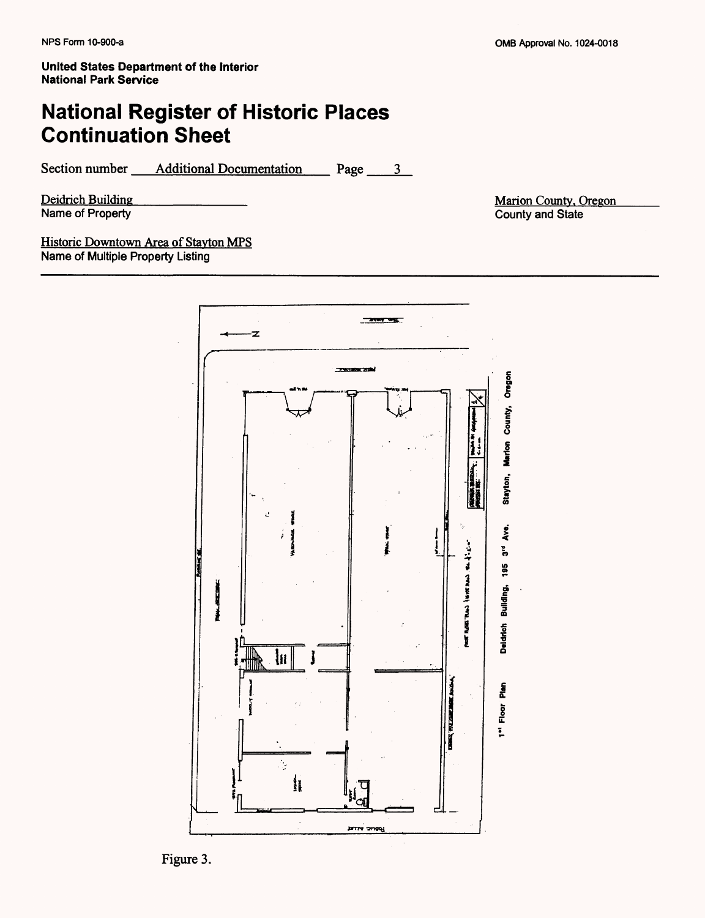## **National Register of Historic Places Continuation Sheet**

Section number <u>Additional Documentation</u> Page

Deidrich Building Name of Property

Marion County. Oregon County and State



Figure 3.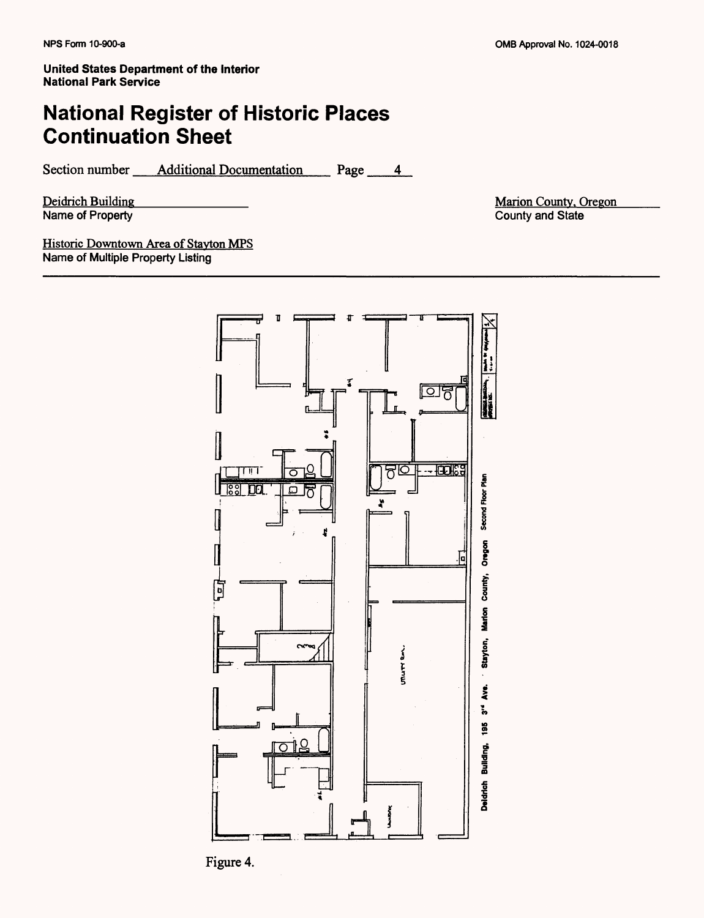## National Register of Historic Places Continuation Sheet

Section number Additional Documentation Page 4

Deidrich Building Name of Property

Marion County. Oregon County and State



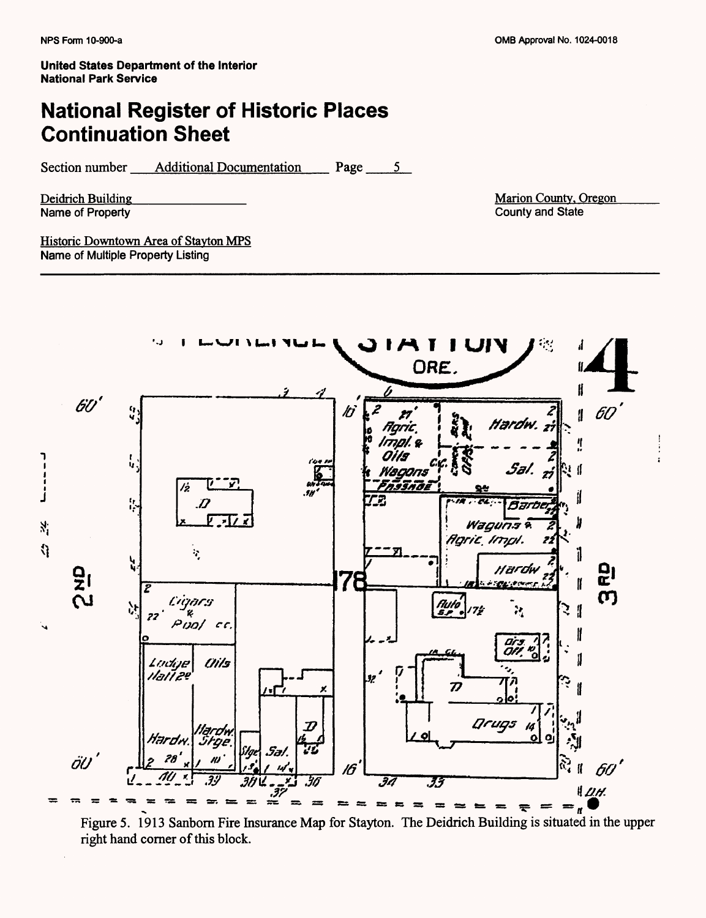## **National Register of Historic Places Continuation Sheet**

Section number <u>Additional Documentation</u> Page

Deidrich Building<br>Name of Property

Marion County. Oregon County and State



Figure 5. 1913 Sanbom Fire Insurance Map for Stayton. The Deidrich Building is situated in the upper right hand corner of this block.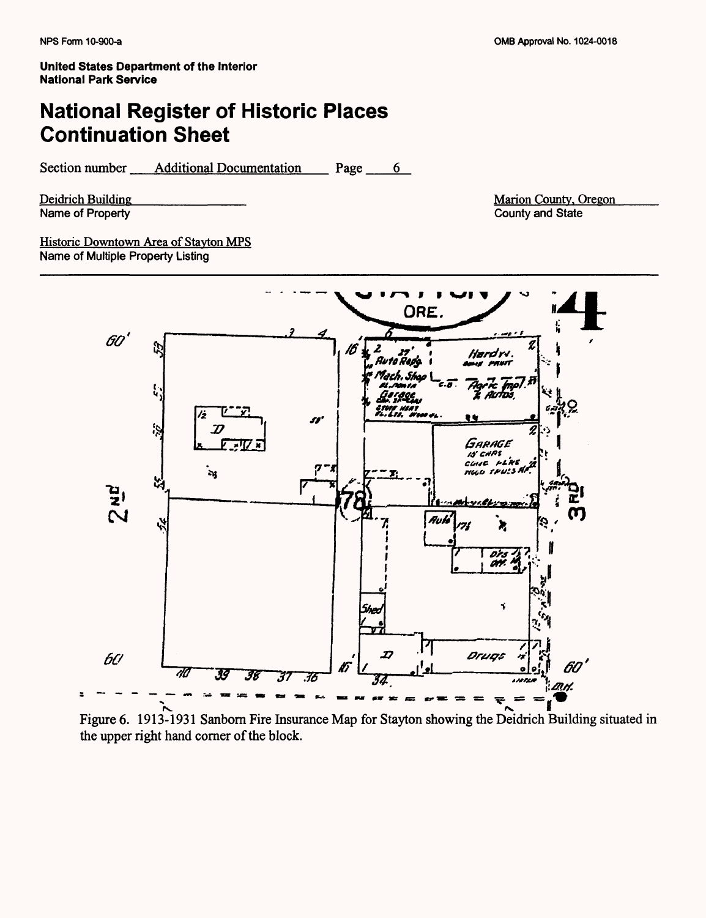# **National Register of Historic Places Continuation Sheet**

Section number Additional Documentation Page 6

Deidrich Building Name of Property

Marion County, Oregon County and State

Historic Downtown Area of Stavton MPS Name of Multiple Property Listing



Figure 6. 1913-1931 Sanborn Fire Insurance Map for Stayton showing the Deidrich Building situated in the upper right hand corner of the block.